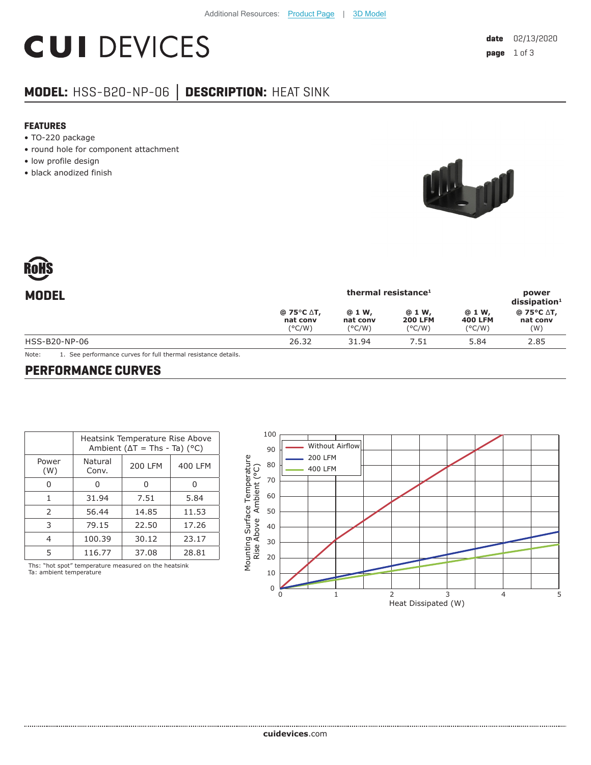# **CUI DEVICES**

## **MODEL:** HSS-B20-NP-06 **│ DESCRIPTION:** HEAT SINK

#### **FEATURES**

- TO-220 package
- round hole for component attachment
- low profile design
- black anodized finish



| 11 J II V<br>$\overline{\phantom{0}}$ |                                           |                                       |                                             |                                             |                                      |  |  |
|---------------------------------------|-------------------------------------------|---------------------------------------|---------------------------------------------|---------------------------------------------|--------------------------------------|--|--|
| <b>MODEL</b>                          | thermal resistance <sup>1</sup>           |                                       |                                             |                                             | power<br>$dis$ sipation <sup>1</sup> |  |  |
|                                       | @ 75°C ∆T,<br>nat conv<br>$(^{\circ}C/W)$ | @ 1 W,<br>nat conv<br>$(^{\circ}C/W)$ | @ 1 W,<br><b>200 LFM</b><br>$(^{\circ}C/W)$ | @ 1 W,<br><b>400 LFM</b><br>$(^{\circ}C/W)$ | @ 75°C ∆T,<br>nat conv<br>(W)        |  |  |
| HSS-B20-NP-06                         | 26.32                                     | 31.94                                 | 7.51                                        | 5.84                                        | 2.85                                 |  |  |
|                                       |                                           |                                       |                                             |                                             |                                      |  |  |

Note: 1. See performance curves for full thermal resistance details.

#### **PERFORMANCE CURVES**

|               | Heatsink Temperature Rise Above<br>Ambient ( $\Delta T$ = Ths - Ta) (°C) |                |         |  |
|---------------|--------------------------------------------------------------------------|----------------|---------|--|
| Power<br>(W)  | Natural<br>Conv.                                                         | <b>200 LFM</b> | 400 LFM |  |
|               | 0                                                                        | O              |         |  |
| 1             | 31.94                                                                    | 7.51           | 5.84    |  |
| $\mathcal{P}$ | 56.44                                                                    | 14.85          | 11.53   |  |
| 3             | 79.15                                                                    | 22.50          | 17.26   |  |
| 4             | 100.39                                                                   | 30.12          | 23.17   |  |
| 5             | 116.77                                                                   | 37.08          | 28.81   |  |
|               |                                                                          |                |         |  |

Ths: "hot spot" temperature measured on the heatsink Ta: ambient temperature

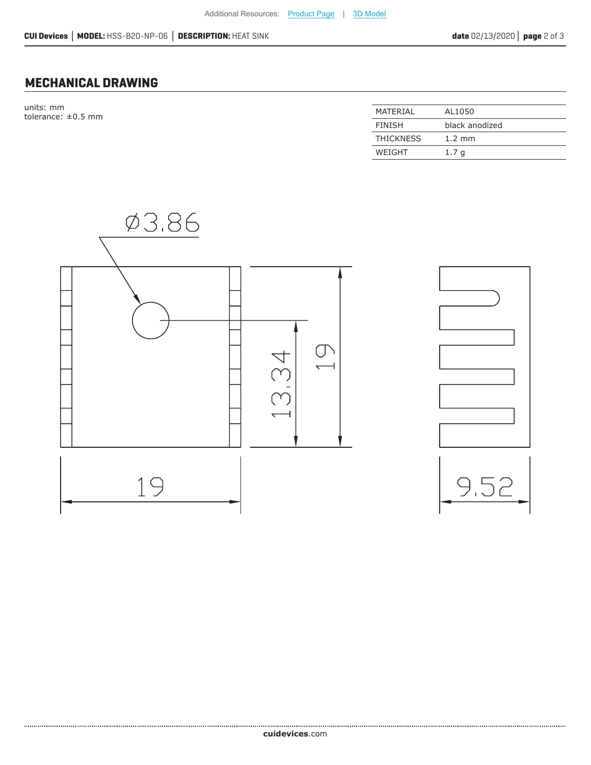### **MECHANICAL DRAWING**

units: mm tolerance:  $\pm 0.5$  mm

| MATERIAL         | AL1050           |
|------------------|------------------|
| <b>FINISH</b>    | black anodized   |
| <b>THICKNESS</b> | $1.2 \text{ mm}$ |
| WFIGHT           | 1.7 a            |